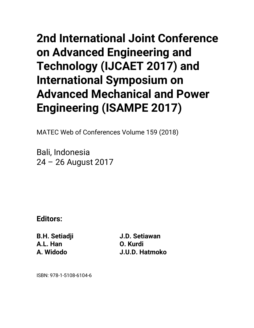## **2nd International Joint Conference on Advanced Engineering and Technology (IJCAET 2017) and International Symposium on Advanced Mechanical and Power Engineering (ISAMPE 2017)**

MATEC Web of Conferences Volume 159 (2018)

Bali, Indonesia 24 – 26 August 2017

**Editors:** 

**B.H. Setiadji A.L. Han A. Widodo** 

**J.D. Setiawan O. Kurdi J.U.D. Hatmoko** 

ISBN: 978-1-5108-6104-6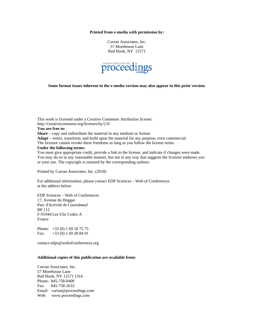## **Printed from e-media with permission by:**

Curran Associates, Inc. 57 Morehouse Lane Red Hook, NY 12571



**Some format issues inherent in the e-media version may also appear in this print version.** 

This work is licensed under a Creative Commons Attribution license: http://creativecommons.org/licenses/by/2.0/ **You are free to: Share** – copy and redistribute the material in any medium or format. **Adapt** – remix, transform, and build upon the material for any purpose, even commercial. The licensor cannot revoke these freedoms as long as you follow the license terms. **Under the following terms:**  You must give appropriate credit, provide a link to the license, and indicate if changes were made. You may do so in any reasonable manner, but not in any way that suggests the licensor endorses you or your use. The copyright is retained by the corresponding authors.

Printed by Curran Associates, Inc. (2018)

For additional information, please contact EDP Sciences – Web of Conferences at the address below.

EDP Sciences – Web of Conferences 17, Avenue du Hoggar Parc d'Activité de Courtabœuf BP 112 F-91944 Les Ulis Cedex A France

Phone: +33 (0) 1 69 18 75 75 Fax: +33 (0) 1 69 28 84 91

contact-edps@webofconferences.org

## **Additional copies of this publication are available from:**

Curran Associates, Inc. 57 Morehouse Lane Red Hook, NY 12571 USA Phone: 845-758-0400 Fax: 845-758-2633 Email: curran@proceedings.com Web: www.proceedings.com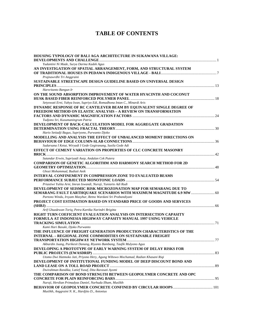## **TABLE OF CONTENTS**

| <b>HOUSING TYPOLOGY OF BALI AGA ARCHITECTURE IN SUKAWANA VILLAGE:</b>            |  |
|----------------------------------------------------------------------------------|--|
|                                                                                  |  |
| Yudantini Ni Made, Surya Darma Kadek Agus                                        |  |
| AN INVESTIGATION OF SPATIAL ARRANGEMENT, FORM, AND STRUCTURAL SYSTEM             |  |
|                                                                                  |  |
| Prajnawrdhi Tri Anggraini                                                        |  |
| SUSTAINABLE STREETSCAPE DESIGN GUIDELINE BASED ON UNIVERSAL DESIGN               |  |
|                                                                                  |  |
| Harsritanto Bangun Ir                                                            |  |
| ON THE SOUND ABSORPTION IMPROVEMENT OF WATER HYACINTH AND COCONUT                |  |
|                                                                                  |  |
| Setyowati Erni, Yahya Iwan, Supriyo Edi, Romadhona Intan C., Minardi Aris        |  |
| DYNAMIC RESPONSE OF RC CANTILEVER BEAM BY EQUIVALENT SINGLE DEGREE OF            |  |
| FREEDOM METHOD ON ELASTIC ANALYSIS - A REVIEW ON TRANSFORMATION                  |  |
|                                                                                  |  |
| Tudjono Sri, Kusumaningrum Patria                                                |  |
| DEVELOPMENT OF BACK-CALCULATION MODEL FOR AGGREGATE GRADATION                    |  |
| Hario Setiadji Bagus, Supriyono, Purwanto Djoko                                  |  |
| MODELLING AND ANALYSIS THE EFFECT OF UNBALANCED MOMENT DIRECTIONS ON             |  |
|                                                                                  |  |
| Sudarsana I Ketut, Wiryadi I Gede Gegiranang, Susila Gede Adi                    |  |
| EFFECT OF CEMENT VARIATION ON PROPERTIES OF CLC CONCRETE MASONRY                 |  |
|                                                                                  |  |
| Sutandar Erwin, Supriyadi Asep, Andalan Cek Putera                               |  |
| <b>COMPARISON OF GENETIC ALGORITHM AND HARMONY SEARCH METHOD FOR 2D</b>          |  |
|                                                                                  |  |
| Ghozi Mohammad, Budiati Anik                                                     |  |
| <b>INTERVAL CONFINEMENT IN COMPRESSION ZONE TO EVALUATED BEAMS</b>               |  |
|                                                                                  |  |
| Priastiwi Yulita Arni, Imran Iswandi, Nuroji, Yuniarto Adi Rudi                  |  |
| DEVELOPMENT OF SEISMIC RISK MICROZONATION MAP FOR SEMARANG DUE TO                |  |
| SEMARANG FAULT EARTHQUAKE SCENARIOS WITH MAXIMUM MAGNITUDE 6.9 MW  60            |  |
| Partono Windu, Irsyam Masyhur, Retno Wardani Sri Prabandiyani                    |  |
| PROJECT COST ESTIMATION BASED ON STANDARD PRICE OF GOODS AND SERVICES            |  |
|                                                                                  |  |
| Arif Ghuzdewan Toriq, Petra Kartika Narindri Brigitta                            |  |
| RIGHT TURN COEFICIENT EVALUATION ANALYSIS ON INTERSECTION CAPASITY               |  |
| FORMULA AT INDONESIA HIGHWAY CAPASITY MANUAL 1997 USING VEHICLE                  |  |
|                                                                                  |  |
| Kami Hari Basuki, Djoko Purwanto                                                 |  |
| THE INFLUENCE OF FREIGHT GENERATION PRODUCTION CHARACTERISTICS OF THE            |  |
| <b>INTERNAL - REGIONAL ZONE COMMODITIES ON SUSTAINABLE FREIGHT</b>               |  |
| Akbardin Juang, Parikesit Danang, Riyanto Bambang, Taufik Mulyono Agus           |  |
| DEVELOPING A PROTOTYPE OF EARLY WARNING SYSTEM OF DELAY RISKS FOR                |  |
|                                                                                  |  |
| Utomo Dwi Hatmoko Jati, Priyono Hery, Agung Wibowo Mochamad, Radian Khasani Riqi |  |
| DEVELOPMENT OF INSTITUTIONAL FUNDING MODEL OF DEEP DISCOUNT BOND AND             |  |
|                                                                                  |  |
| Dwirahman Randika, Latief Yusuf, Dita Rarasati Ayomi                             |  |
| THE COMPARISON OF BOND STRENGTH BETWEEN GEOPOLYMER CONCRETE AND OPC              |  |
|                                                                                  |  |
| Nuroji, Herdian Primadyas Daniel, Nurhuda Ilham, Muslikh                         |  |
|                                                                                  |  |
| Muslikh, Anggraini N. K., Hardjito D., Antonius                                  |  |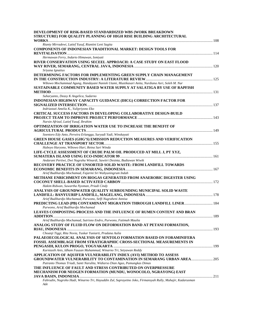| DEVELOPMENT OF RISK-BASED STANDARDIZED WBS (WORK BREAKDOWN                                                                                 |  |
|--------------------------------------------------------------------------------------------------------------------------------------------|--|
| STRUCTURE) FOR QUALITY PLANNING OF HIGH RISE BUILDING ARCHITECTURAL                                                                        |  |
| Rianty Mirradewi, Latief Yusuf, Riantini Leni Sagita                                                                                       |  |
| <b>COMPONENTS OF INDONESIAN TRADITIONAL MARKET: DESIGN TOOLS FOR</b>                                                                       |  |
| Hermawan Ferry, Indarto Himawan, Ismiyati                                                                                                  |  |
| RIVER CONSERVATION USING SECEEL APPROACH: A CASE STUDY ON EAST FLOOD                                                                       |  |
| Sriyana Ignatius                                                                                                                           |  |
| DETERMINING FACTORS FOR IMPLEMENTING GREEN SUPPLY CHAIN MANAGEMENT                                                                         |  |
| Wibowo Mochammad Agung, Handayani Naniek Utami, Mustikasari Anita, Nurdiana Asri, Soleh M. Nur                                             |  |
| SUSTAINABLE COMMUNITY BASED WATER SUPPLY AT SALATIGA BY USE OF RAPFISH                                                                     |  |
| Suharyanto, Deasy K Angelica, Sudarno                                                                                                      |  |
| INDONESIAN HIGHWAY CAPACITY GUIDANCE (IHCG) CORRECTION FACTOR FOR                                                                          |  |
| Indriastuti Amelia K., Yulipriyono Eko                                                                                                     |  |
| CRITICAL SUCCESS FACTORS IN DEVELOPING COLLABORATIVE DESIGN-BUILD                                                                          |  |
|                                                                                                                                            |  |
| Nursin Afrizal, Latief Yusuf, Ibrahim                                                                                                      |  |
| OPTIMIZATION OF IRRIGATION WATER USE TO INCREASE THE BENEFIT OF                                                                            |  |
| Soentoro Edy Anto, Perwira Erlangga, Suryadi Yadi, Winskayati                                                                              |  |
| <b>GREEN HOUSE GASES (GHG'S) EMISSION REDUCTION MEASURES AND VERIFICATION</b>                                                              |  |
| Huboyo Haryono, Wibowo Hari, Retna Sari Winda                                                                                              |  |
| LIFE-CYCLE ASSESSMENT OF CRUDE PALM OIL PRODUCED AT MILL J, PT XYZ,                                                                        |  |
| Andarani Pertiwi, Dwi Nugraha Winardi, Sawitri Desinta, Budiawan Wiwik                                                                     |  |
| <b>RECOVERY PRACTICE OF UNSORTED SOLID WASTE: FROM LANDFILL TOWARDS</b>                                                                    |  |
| Arief Budihardjo Mochamad, Fajarini Sri Wahyuningrum Indah                                                                                 |  |
| METHANE ENRICHMENT ON BIOGAS GENERATED FROM ANAEROBIC DIGESTER USING                                                                       |  |
| Hakim Ridwan, Suwartha Nyoman, Priadi Cindy                                                                                                |  |
| ANALYSIS OF GROUNDWATER OUALITY SURROUNDING MUNICIPAL SOLID WASTE                                                                          |  |
| Arief Budihardjo Mochamad, Purwono, Selfi Nugraheni Annisa                                                                                 |  |
| PREDICTING LEAD (PB) CONTAMINANT MIGRATION THROUGH LANDFILL LINER 184<br>Purwono, Arief Budihardjo Mochamad                                |  |
| LEAVES COMPOSTING PROCESS AND THE INFLUENCE OF RUMEN CONTENT AND BRAN                                                                      |  |
| Arief Budihardjo Mochamad, Sutrisno Endro, Purwono, Fatimah Maulia                                                                         |  |
| ANALOG STUDY OF FLUID FLOW ON DEFORMATION BAND AT PETANI FORMATION,                                                                        |  |
| Choanji Tiggi, Rita Novia, Yuskar Yuniarti, Pradana Aulia                                                                                  |  |
| PALAEOECOLOGICAL ANALYSIS OF SENTOLO FORMATION BASED ON FORAMINIFERA                                                                       |  |
| FOSSIL ASSEMBLAGE FROM STRATIGRAPHIC CROSS-SECTIONAL MEASUREMENTS IN                                                                       |  |
|                                                                                                                                            |  |
| Kurniasih Anis, Idham Fauzan Muhammad, Winarno Tri, Setyawan Reddy                                                                         |  |
| APPLICATION OF AQUIFER VULNERABILITY INDEX (AVI) METHOD TO ASSESS<br>GROUNDWATER VULNERABILITY TO CONTAMINATION IN SEMARANG URBAN AREA 205 |  |
| Putranto Thomas Triadi, Santi Narulita, Widiarso Dian Agus, Pamungkas Dimas                                                                |  |
| THE INFLUENCE OF FAULT AND STRESS CONTRIBUTED ON OVERPRESSURE                                                                              |  |
| MECHANISM FOR NEOGEN FORMATION (MUNDU, WONOCOLO, NGRAYONG) EAST                                                                            |  |
| Fahrudin, Nugroho Hadi, Winarno Tri, Hayuddin Zul, Suprayetno Joko, Firmansyah Rully, Muhajir, Kadarusman<br>Ade                           |  |
|                                                                                                                                            |  |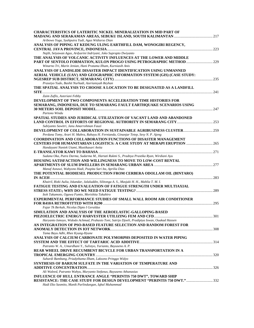| <b>CHARACTERISTICS OF LATERITIC NICKEL MINERALIZATION IN MID PART OF</b>                      |      |
|-----------------------------------------------------------------------------------------------|------|
|                                                                                               |      |
| Aribowo Yoga, Syahputra Yudi, Agus Widiarso Dian                                              |      |
| ANALYSIS OF PIPING AT KEDUNG ULING EARTHFILL DAM, WONOGIRI REGENCY,                           |      |
|                                                                                               |      |
| Najib, Setyawan Agus, Ardyarini Indriyani, Joko Suprapto Dwiyanto                             |      |
| THE ANALYSIS OF VOLCANIC ACTIVITY INFLUENCES AT THE LOWER AND MIDDLE                          |      |
| PART OF SENTOLO FORMATION, KULON PROGO USING PETROGRAPHIC METHOD                              |      |
| Winarno Tri, Marin Jenian, Hani Pratama Ilham, Kurniasih Anis                                 |      |
| ANALYSIS OF LANDSLIDE DISASTER IMPACT IDENTIFICATION USING UNMANNED                           |      |
|                                                                                               |      |
| AERIAL VEHICLE (UAV) AND GEOGRAPHIC INFORMATION SYSTEM (GIS) (CASE STUDY:                     |      |
|                                                                                               |      |
| Prasetyo Yudo, Bashit Nurhadi, Azeriansyah Reyhan                                             |      |
| THE SPATIAL ANALYSIS TO CHOOSE A LOCATION TO BE DESIGNATED AS A LANDFILL                      |      |
|                                                                                               |      |
| Zaim Zaflis, Asteriani Febby                                                                  |      |
| DEVELOPMENT OF TWO COMPONENTS ACCELERATION TIME HISTORIES FOR                                 |      |
| SEMARANG, INDONESIA, DUE TO SEMARANG FAULT EARTHQUAKE SCENARIOS USING                         |      |
|                                                                                               |      |
| Partono Windu                                                                                 |      |
| SPATIAL STUDIES AND JURIDICAL UTILIZATION OF VACANT LAND AND ABANDONED                        |      |
|                                                                                               |      |
| Subiyanto Sawitri, Janu Amarrohman Fauzi                                                      |      |
| DEVELOPMENT OF COLLABORATION IN SUSTAINABLE AGRIBUSINESS CLUSTER 259                          |      |
| Perdana Tomy, Arari H. Mahra, Rahayu H. Fernianda, Ginanjar Tetep, Sesy N. P. Ajeng           |      |
| <b>COORDINATION AND COLLABORATION FUNCTIONS OF DISASTER MANAGEMENT</b>                        |      |
| <b>CENTERS FOR HUMANITARIAN LOGISTICS: A CASE STUDY AT MERAPI ERUPTION  265</b>               |      |
| Handayani Naniek Utami, Mustikasari Anita                                                     |      |
|                                                                                               |      |
| Sudana Oka, Putra Darma, Sudarma M., Hartati Rukmi S., Pradnya Prastika Ryan, Wirdiani Ayu    |      |
| HOUSING SATISFACTION AND WILLINGNESS TO MOVE TO LOW-COST RENTAL                               |      |
|                                                                                               |      |
| Manaf Asnawi, Wahyono Hadi, Puspita Sari Ita, Aprilia Dias                                    |      |
| THE POTENTIAL BIODIESEL PRODUCTION FROM CERBERA ODOLLAM OIL (BINTARO)                         |      |
|                                                                                               |      |
| Khairil, Rizki Aulia, Iskandar, Jalaluddin, Silitonga A. S., Masjuki H. H., Mahlia T. M. I.   |      |
| <b>FATIGUE TESTING AND EVALUATION OF FATIGUE STRENGTH UNDER MULTIAXIAL</b>                    |      |
|                                                                                               |      |
| Itoh Takamoto, Ogawa Fumio, Morishita Takahiro                                                |      |
| <b>EXPERIMENTAL PERFORMANCE STUDIES OF SMALL WALL ROOM AIR CONDITIONER</b>                    |      |
|                                                                                               |      |
| Fajar Tk Berkah, Nicolas Dipto I Geraldus                                                     |      |
| SIMULATION AND ANALYSIS OF THE AEROELASTIC-GALLOPING-BASED                                    |      |
|                                                                                               | .301 |
| Haryanto Ismoyo, Widodo Achmad, Prahasto Toni, Satrijo Djoeli, Pradiptya Iswan, Ouakad Hassen |      |
| AN INTEGRATION OF PSO-BASED FEATURE SELECTION AND RANDOM FOREST FOR                           |      |
|                                                                                               |      |
| Tama Bayu Adhi, Rhee Kyung-Hyune                                                              |      |
| ANALYSIS OF CALCIUM CARBONATE POLYMORPHS DEPOSITED IN WATER PIPING                            |      |
|                                                                                               |      |
| Putranto W. A., Umardhani Y., Sulistyo, Yurianto, Bayuseno A. P.                              |      |
| REAR WHEEL DRIVE RECUMBENT BICYCLE FOR URBAN TRANSPORTATION IN A                              |      |
|                                                                                               |      |
| Suhardi Bambang, Priadythama Ilham, Laksono Pringgo Widyo                                     |      |
| SYNTHESIS OF BARIUM SULFATE IN THE VARIATION OF TEMPERATURE AND                               |      |
|                                                                                               |      |
| Ali Waleed, Putranto Wahyu, Muryanto Stefanus, Bayuseno Athanasius                            |      |
| <b>INFLUENCE OF HULL ENTRANCE ANGLE "PERINTIS 750 DWT", TOWARD SHIP</b>                       |      |
| RESISTANCE: THE CASE STUDY FOR DESIGN DEVELOPMENT "PERINTIS 750 DWT."332                      |      |
| Hadi Eko Sasmito, Manik Parlindungan, Iqbal Muhammad                                          |      |
|                                                                                               |      |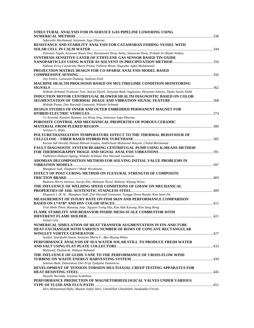| STRUCTURAL ANALYSIS FOR IN-SERVICE GAS PIPELINE LOWERING USING                                              |     |
|-------------------------------------------------------------------------------------------------------------|-----|
|                                                                                                             |     |
| Safarudin Mochamad, Setiawan Joga Dharma                                                                    |     |
| RESISTANCE AND STABILITY ANALYSIS FOR CATAMARAN FISHING VESSEL WITH                                         |     |
| Putranto Teguh, Aryawan Wasis Dwi, Kurniawati Hesty Anita, Setyawan Dony, Pribadi Sri Rejeki Wahyu          |     |
| SYNTHESIS SENSITIVE LAYER OF ETHYLENE GAS SENSOR BASED TIN OXIDE                                            |     |
|                                                                                                             |     |
| Nabena Erica Caesariaty Harni Prima, Yuliarto Brian, Nugraha, Iqbal Muhammad                                |     |
| PROJECTION MATRIX DESIGN FOR CO-SPARSE ANALYSIS MODEL BASED                                                 |     |
|                                                                                                             |     |
| Oey Endra, Gunawan Dadang, Sudiana Dodi                                                                     |     |
| MACHINE HEALTH PROGNOSIS BASED ON MULTIREGIME CONDITION MONITORING                                          |     |
|                                                                                                             |     |
| Widodo Achmad, Prahasto Toni, Satrijo Djoeli, Setiyana Budi, Sugiyanto, Haryanto Ismoyo, Djoko Susilo Didik |     |
| INDUCTION MOTOR CENTRIFUGAL BLOWER HEALTH DIAGNOSTIC BASED ON COLOR                                         |     |
|                                                                                                             |     |
| Widodo Panut, Dwi Haryadi Gunawan, Widodo Achmad                                                            |     |
| DESIGN STUDIES OF INNER AND OUTER EMBEDDED PERMANENT MAGNET FOR                                             |     |
|                                                                                                             |     |
| Cv Aravind, Kannan Ramani, Lei Heng Jing, Setiawan Joga Dharma                                              |     |
| POROSITY CONTROL AND MECHANICAL PROPERTIES OF POROUS CERAMIC                                                |     |
|                                                                                                             |     |
| Sulistyo S., Rizky                                                                                          |     |
| POLYURETHANIZATION TEMPERATURE EFFECT TO THE THERMAL BEHAVIOUR OF                                           |     |
| Kurnia Adi Herald, Hanum Ikhwan Fauzia, Aidilichsan Muliawan Hasyim, Chalid Mochamad                        |     |
| FAULT DIAGNOSTIC SYSTEM BEARING CENTRIFUGAL PUMP USING K-MEANS METHOD                                       |     |
|                                                                                                             |     |
| Yudhistira Hidayat Agung, Widodo Achmad, Dwi Haryadi Gunawan                                                |     |
| ADOMIAN DECOMPOSITION METHOD FOR SOLVING INITIAL VALUE PROBLEMS IN                                          |     |
|                                                                                                             |     |
| Mungkasi Sudi, Ekaputra I Made Wicaksana                                                                    |     |
| EFFECT OF POST CURING METHOD ON FLEXURAL STRENGTH OF COMPOSITE                                              |     |
|                                                                                                             |     |
| Budiono Herru Santoso, Surojo Eko, Muhayat Nurul, Raharjo Wijang Wisnu                                      |     |
| THE INFLUENCE OF WELDING SPEED CONDITIONS OF GMAW ON MECHANICAL                                             |     |
|                                                                                                             |     |
| Ekaputra I. M. W., Mungkasi Sudi, Dwi Haryadi Gunawan, Tungga Dewa Rando, Kim Seon-Jin                      |     |
| MEASUREMENT OF INJURY RATE ON FISH SKIN AND PERFORMANCE COMPARISON                                          |     |
| Tran Minh Thien, Rantung Jotje, Nguyen Trong Hai, Kim Hak Kyeong, Kim Sang Bong                             |     |
| FLAME STABILITY AND BEHAVIOR INSIDE MESO-SCALE COMBUSTOR WITH                                               |     |
|                                                                                                             | 421 |
| Yuliati Lilis                                                                                               |     |
| NUMERICAL SIMULATION OF HEAT TRANSFER AUGMENTATION IN FIN-AND-TUBE                                          |     |
| HEAT EXCHANGER WITH VARIOUS NUMBER OF ROWS OF CONCAVE RECTANGULAR                                           |     |
|                                                                                                             |     |
| Syaiful, Syarifudin Imam, Soetanto Maria F., Bae Myung-Whan                                                 |     |
| PERFORMANCE ANALYSIS OF SEA WATER SOLAR STILL TO PRODUCE FRESH WATER                                        |     |
|                                                                                                             |     |
| Mulyanef, Duskiardi, Hidayat Rahmad                                                                         |     |
| THE INFLUENCE OF GUIDE VANE TO THE PERFORMANCE OF CROSS-FLOW WIND                                           |     |
|                                                                                                             |     |
| Santoso Budi, Danardono Dwi Prija Tjahjana Dominicus                                                        |     |
| DEVELOPMENT OF TENSION-TORSION MULTIAXIAL CREEP TESTING APPARATUS FOR                                       |     |
|                                                                                                             |     |
| Hiyoshi Noritake, Iriyama Yoshihisa                                                                         |     |
| PERFORMANCE PREDICTION OF MAGNETORHEOLOGICAL VALVES UNDER VARIOUS                                           |     |
| Idris Muhammad Hafiz, Mazlan Saiful Amri, Ubaidillah Ubaidillah, Imaduddin Fitrian                          |     |
|                                                                                                             |     |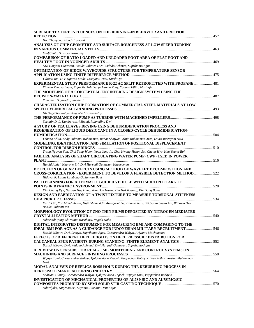| SURFACE TEXTURE INFLUENCES ON THE RUNNING-IN BEHAVIOR AND FRICTION                                                                                      |  |
|---------------------------------------------------------------------------------------------------------------------------------------------------------|--|
|                                                                                                                                                         |  |
| Hou Zhouyong, Honda Tomomi<br>ANALYSIS OF CHIP GEOMETRY AND SURFACE ROUGHNESS AT LOW SPEED TURNING                                                      |  |
|                                                                                                                                                         |  |
| Mudjijanto, Sulistyo, Rusnaldy                                                                                                                          |  |
| COMPARISON OF RATIO LOADED AND UNLOADED FOOT AREA OF FLAT FOOT AND                                                                                      |  |
|                                                                                                                                                         |  |
| Dwi Haryadi Gunawan, Basuki Wibowo Dwi, Widodo Achmad, Suprihanto Agus                                                                                  |  |
| <b>OPTIMIZATION OF RIDGE WAVEGUIDE STRUCTURE FOR TEMPERATURE SENSOR</b>                                                                                 |  |
|                                                                                                                                                         |  |
| Yulianti Ian, D. P Ngurah Made, Lestiyanti Yuni, Kurdi Ojo<br>EXPERIMENTAL STUDY PERFORMANCE R-22 AC SPLIT RETROFITTED WITH PROPANE 481                 |  |
| Ridwan Tanaka Imam, Fajar Berkah, Suryo Utomo Tony, Yohana Eflita, Mustaqim                                                                             |  |
| THE MODELING OF A CONCEPTUAL ENGINEERING DESIGN SYSTEM USING THE                                                                                        |  |
|                                                                                                                                                         |  |
| Ramdhani Safarudin, Jamari J                                                                                                                            |  |
| <b>CHARACTERIZATION CHIP FORMATION OF COMMERCIAL STEEL MATERIALS AT LOW</b>                                                                             |  |
|                                                                                                                                                         |  |
| Isti Nugroho Wahyu, Nugroho Sri, Rusnaldy                                                                                                               |  |
|                                                                                                                                                         |  |
| Zariatin D. L, Kumbarasari Shanti, Rahmalina Dwi                                                                                                        |  |
| A STUDY OF TEA LEAVES DRYING USING DEHUMIDIFICATION PROCESS AND<br>REGENERATION OF LIQUID DESICCANT IN A CLOSED-CYCLE DEHUMIDIFICATION-                 |  |
|                                                                                                                                                         |  |
| Yohana Eflita, Endy Yulianto Mohammad, Bahar Shofwan, Alifa Muhammad Azza, Laura Indrayani Novi                                                         |  |
| MODELING, IDENTIFICATION, AND SIMULATION OF POSITIONAL DISPLACEMENT                                                                                     |  |
|                                                                                                                                                         |  |
| Trong Nguyen Van, Choi Yong-Woon, Yoon Jung-In, Choi Kwang-Hwan, Son Chang-Hyo, Kim Young-Bok                                                           |  |
| <b>FAILURE ANALYSIS OF SHAFT CIRCULATING WATER PUMP (CWP) USED IN POWER</b>                                                                             |  |
|                                                                                                                                                         |  |
| Hamid Abdul, Nugroho Sri, Dwi Haryadi Gunawan, Khaeroman                                                                                                |  |
| DETECTION OF GEAR DEFECTS USING METHOD OF WAVELET DECOMPOSITION AND<br><b>CROSS-CORRELATION - EXPERIMENT TO DEVELOP A FEASIBLE DETECTION METHOD 522</b> |  |
| Hidayat R. Lullus Lambang G, Santoso Budi                                                                                                               |  |
| PATH PLANNING FOR AUTOMATIC GUIDED VEHICLE WITH MULTIPLE TARGET                                                                                         |  |
|                                                                                                                                                         |  |
| Kim Chang Kyu, Nguyen Huy Hung, Kim Dae Hwan, Kim Hak Kyeong, Kim Sang Bong                                                                             |  |
| <b>DESIGN AND FABRICATION OF A TWIST FIXTURE TO MEASURE TORSIONAL STIFFNESS</b>                                                                         |  |
|                                                                                                                                                         |  |
| Kurdi Ojo, Yob Mohd Shukri, Haji Ishamuddin Awisqarni, Suprihanto Agus, Widyanto Susilo Adi, Wibowo Dwi<br>Basuki, Yulianti Ian                         |  |
| MORPHOLOGY EVOLUTION OF ZNO THIN FILMS DEPOSITED BY NITROGEN MEDIATED                                                                                   |  |
| <b>CRYSTALLIZATION METHOD </b>                                                                                                                          |  |
| Suhariadi Iping, Shiratani Masaharu, Itagaki Naho                                                                                                       |  |
| DIGITAL INTEGRATED INSTRUMENT FOR MEASURING BMI AND COMPARING TO THE                                                                                    |  |
| <b>IDEAL BMI FOR AGE AS A GUIDANCE FOR INDONESIAN MILITARY RECRUITMENT  546</b>                                                                         |  |
| Basuki Wibowo Dwi, Ismoyo, Suprihanto Agus, Caesarendra Wahyu, Ariyanto Mochammad                                                                       |  |
| <b>EFFECTS OF DIFFERENT HEEL HEIGHTS ON HEEL PRESSURE DISTRIBUTION FOR</b>                                                                              |  |
| Basuki Wibowo Dwi, Widodo Achmad, Dwi Haryadi Gunawan, Suprihanto Agus                                                                                  |  |
| A REVIEW ON SENSORS FOR REAL-TIME MONITORING AND CONTROL SYSTEMS ON                                                                                     |  |
|                                                                                                                                                         |  |
| Wijaya Tomi, Caesarendra Wahyu, Tjahjowidodo Tegoeh, Pappachan Bobby K, Wee Arthur, Roslan Muhammad                                                     |  |
| Izzat                                                                                                                                                   |  |
| MODAL ANALYSIS OF REPLICA BOSS HOLE DURING THE DEBURRING PROCESS IN                                                                                     |  |
|                                                                                                                                                         |  |
| Andriani Claudy, Caesarendra Wahyu, Tjahjowidodo Tegoeh, Wijaya Tomi, Pappachan Bobby K                                                                 |  |
| <b>INVESTIGATION OF MECHANICAL PROPERTIES OF AL7SI/ SIC AND AL7SIMG/SIC</b>                                                                             |  |
| Sulardjaka, Nugroho Sri, Suyanto, Fitriana Deni Fajar                                                                                                   |  |
|                                                                                                                                                         |  |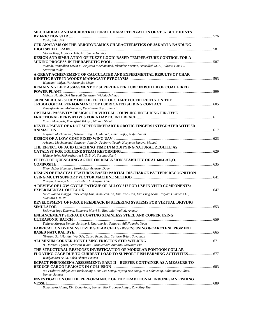| MECHANICAL AND MICROSTRUCTURAL CHARACTERIZATION OF ST 37 BUTT JOINTS                                                                               |  |
|----------------------------------------------------------------------------------------------------------------------------------------------------|--|
|                                                                                                                                                    |  |
| Kasir, Sulardjaka<br>CFD ANALYSIS ON THE AERODYNAMICS CHARACTERISTICS OF JAKARTA-BANDUNG                                                           |  |
|                                                                                                                                                    |  |
| Utomo Tony, Fajar Berkah, Arpriyanto Hendry                                                                                                        |  |
| DESIGN AND SIMULATION OF FUZZY LOGIC BASED TEMPERATURE CONTROL FOR A                                                                               |  |
|                                                                                                                                                    |  |
| Munadi, Ramadhan Erwin F., Ariyanto Mochammad, Iskandar Norman, Amirullah M. A., Julianti Hari P.,<br>Setiawan Rudy                                |  |
| A GREAT ACHIEVEMENT OF CALCULATED AND EXPERIMENTAL RESULTS OF CHAR                                                                                 |  |
|                                                                                                                                                    |  |
| Wijayanti Widya, Nur Sasongko Mega                                                                                                                 |  |
| REMAINING LIFE ASSESSMENT OF SUPERHEATER TUBE IN BOILER OF COAL FIRED                                                                              |  |
|                                                                                                                                                    |  |
| Muhajir Habib, Dwi Haryadi Gunawan, Widodo Achmad                                                                                                  |  |
| 3D NUMERICAL STUDY ON THE EFFECT OF SHAFT ECCENTRICITY ON THE                                                                                      |  |
| Tauviqirrahman Mohammad, Kurniawan Bayu, Jamari                                                                                                    |  |
| OPTIMAL PASSIVITY DESIGN OF A VIRTUAL COUPLING INCLUDING FIR-TYPE                                                                                  |  |
|                                                                                                                                                    |  |
| Kawai Masayuki, Yamagishi Takuya, Minami Shouta                                                                                                    |  |
| DEVELOPMENT OF 6 DOF SUPERNUMERARY ROBOTIC FINGERS INTEGRATED WITH 3D                                                                              |  |
| Ariyanto Mochammad, Setiawan Joga D., Munadi, Ismail Rifky, Arifin Zainal                                                                          |  |
|                                                                                                                                                    |  |
| Ariyanto Mochammad, Setiawan Joga D., Prabowo Teguh, Haryanto Ismoyo, Munadi                                                                       |  |
| THE EFFECT OF ACID LEACHING TIME IN MODIFYING NATURAL ZEOLITE AS                                                                                   |  |
|                                                                                                                                                    |  |
| Waluyo Joko, Makertihartha I. G. B. N., Susanto Herri                                                                                              |  |
| EFFECT OF QUENCHING AGENT ON DIMENSION STABILITY OF AL 6061-AL <sub>2</sub> O <sub>3</sub>                                                         |  |
| Ilham Akbar Hammar, Surojo Eko, Ariawan Dody                                                                                                       |  |
| DESIGN OF FRACTAL FEATURES-BASED PARTIAL DISCHARGE PATTERN RECOGNITION                                                                             |  |
|                                                                                                                                                    |  |
| Rahayu, Anuraga G. T., Prasetia H., Khayam Umar                                                                                                    |  |
| A REVIEW OF LOW-CYCLE FATIGUE OF ALLOY 617 FOR USE IN VHTR COMPONENTS:                                                                             |  |
| Dewa Rando Tungga, Park Jeong-Hun, Kim Seon-Jin, Kim Woo-Gon, Kim Eung-Seon, Haryadi Gunawan D.,                                                   |  |
| Ekaputra I. M. W.                                                                                                                                  |  |
| DEVELOPMENT OF FORCE FEEDBACK IN STEERING SYSTEMS FOR VIRTUAL DRIVING                                                                              |  |
|                                                                                                                                                    |  |
| Setiawan Joga Dharma, Baharom Masri B., Bin Abdul Wali M. Ammar                                                                                    |  |
| ENHANCEMENT SURFACE COATING STAINLESS STEEL AND COPPER USING                                                                                       |  |
| Yuliarto Margen Sendie, Sulistyo S, Nugroho Sri, Setiawan Adi Nugroho Yoga                                                                         |  |
| <b>FABRICATION DYE SENSITIZED SOLAR CELLS (DSSCS) USING B-CAROTENE PIGMENT</b>                                                                     |  |
|                                                                                                                                                    |  |
| Nirwana Sari Halidun Wa Ode, Cahya Prima Eka, Yuliarto Brian, Suyatman                                                                             |  |
|                                                                                                                                                    |  |
| B. Darmadi Djarot, Setiawan Widia, Purnowidodo Anindito, Siswanto Eko                                                                              |  |
| THE STRUCTURAL RESPONSE INVESTIGATION OF MODULAR PONTOON COLLAR<br><b>FLOATING CAGE DUE TO CURRENT LOAD TO SUPPORT FISH FARMING ACTIVITIES 677</b> |  |
| Windyandari Aulia, Zakki Ahmad Fauzan                                                                                                              |  |
| IMPACT PHENOMENA ASSESSMENT: PART II - BUFFER CONTAINER AS A MEASURE TO                                                                            |  |
|                                                                                                                                                    |  |
| Rio Prabowo Aditya, Jun Baek Seung, Geon Lee Seung, Myung Bae Dong, Min Sohn Jung, Bahatmaka Aldias,                                               |  |
| Samuel Samuel                                                                                                                                      |  |
| INVESTIGATION ON THE PERFORMANCE OF THE TRADITIONAL INDONESIAN FISHING                                                                             |  |
| Bahatmaka Aldias, Kim Dong-Joon, Samuel, Rio Prabowo Aditya, Zaw May-Thu                                                                           |  |